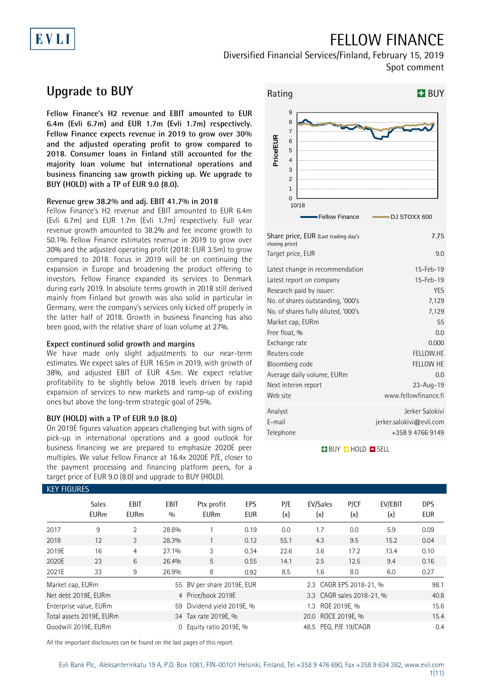### FELLOW FINANCE

Diversified Financial Services/Finland, February 15, 2019 Spot comment

### **Upgrade to BUY**

EVLI

**Fellow Finance's H2 revenue and EBIT amounted to EUR 6.4m (Evli 6.7m) and EUR 1.7m (Evli 1.7m) respectively. Fellow Finance expects revenue in 2019 to grow over 30% and the adjusted operating profit to grow compared to 2018. Consumer loans in Finland still accounted for the majority loan volume but international operations and business financing saw growth picking up. We upgrade to BUY (HOLD) with a TP of EUR 9.0 (8.0).**

### **Revenue grew 38.2% and adj. EBIT 41.7% in 2018**

Fellow Finance's H2 revenue and EBIT amounted to EUR 6.4m (Evli 6.7m) and EUR 1.7m (Evli 1.7m) respectively. Full year revenue growth amounted to 38.2% and fee income growth to 50.1%. Fellow Finance estimates revenue in 2019 to grow over 30% and the adjusted operating profit (2018: EUR 3.5m) to grow compared to 2018. Focus in 2019 will be on continuing the expansion in Europe and broadening the product offering to investors. Fellow Finance expanded its services to Denmark during early 2019. In absolute terms growth in 2018 still derived mainly from Finland but growth was also solid in particular in Germany, were the company's services only kicked off properly in the latter half of 2018. Growth in business financing has also been good, with the relative share of loan volume at 27%.

### **Expect continued solid growth and margins**

We have made only slight adjustments to our near-term estimates. We expect sales of EUR 16.5m in 2019, with growth of 38%, and adjusted EBIT of EUR 4.5m. We expect relative profitability to be slightly below 2018 levels driven by rapid expansion of services to new markets and ramp-up of existing ones but above the long-term strategic goal of 25%.

### **BUY (HOLD) with a TP of EUR 9.0 (8.0)**

On 2019E figures valuation appears challenging but with signs of pick-up in international operations and a good outlook for business financing we are prepared to emphasize 2020E peer multiples. We value Fellow Finance at 16.4x 2020E P/E, closer to the payment processing and financing platform peers, for a target price of EUR 9.0 (8.0) and upgrade to BUY (HOLD). KEY FIGURES



| Share price, EUR (Last trading day's<br>closing price) | 7.75                     |
|--------------------------------------------------------|--------------------------|
| Target price, EUR                                      | 9.0                      |
| Latest change in recommendation                        | 15-Feb-19                |
| Latest report on company                               | 15-Feb-19                |
| Research paid by issuer:                               | <b>YES</b>               |
| No. of shares outstanding, '000's                      | 7,129                    |
| No. of shares fully diluted, '000's                    | 7,129                    |
| Market cap, EURm                                       | 55                       |
| Free float, %                                          | 0.0                      |
| Exchange rate                                          | 0.000                    |
| Reuters code                                           | FELLOW.HE                |
| Bloomberg code                                         | <b>FELLOW HE</b>         |
| Average daily volume, EURm                             | 00                       |
| Next interim report                                    | $23 - Aug - 19$          |
| Web site                                               | www.fellowfinance.fi     |
| Analyst                                                | Jerker Salokivi          |
| E-mail                                                 | jerker.salokivi@evli.com |
| Telephone                                              | +358 9 4766 9149         |

**BUY QHOLD SELL** 

| NET TIUUNEJ      |                             |                     |             |                            |                   |            |                           |              |                |                          |
|------------------|-----------------------------|---------------------|-------------|----------------------------|-------------------|------------|---------------------------|--------------|----------------|--------------------------|
|                  | <b>Sales</b><br><b>EURm</b> | EBIT<br><b>EURm</b> | EBIT<br>0/0 | Ptx profit<br><b>EURm</b>  | EPS<br><b>EUR</b> | P/E<br>(x) | EV/Sales<br>(x)           | P/CF<br>(x)  | EV/EBIT<br>(x) | <b>DPS</b><br><b>EUR</b> |
| 2017             | 9                           | $\overline{2}$      | 28.8%       |                            | 0.19              | 0.0        | 1.7                       | 0.0          | 5.9            | 0.09                     |
| 2018             | 12                          | 3                   | 28.3%       |                            | 0.12              | 55.1       | 4.3                       | 9.5          | 15.2           | 0.04                     |
| 2019E            | 16                          | 4                   | 27.1%       | 3                          | 0.34              | 22.6       | 3.6                       | 17.2         | 13.4           | 0.10                     |
| 2020E            | 23                          | 6                   | 26.4%       | 5                          | 0.55              | 14.1       | 2.5                       | 12.5         | 9.4            | 0.16                     |
| 2021E            | 33                          | 9                   | 26.9%       | 8                          | 0.92              | 8.5        | 1.6                       | 8.0          | 6.0            | 0.27                     |
| Market cap, EURm |                             |                     |             | 55 BV per share 2019E, EUR |                   |            | 2.3 CAGR EPS 2018-21, %   |              |                | 98.1                     |
|                  | Net debt 2019E, EURm        |                     |             | 4 Price/book 2019E         |                   |            | 3.3 CAGR sales 2018-21, % |              |                | 40.8                     |
|                  | Enterprise value, EURm      |                     |             | 59 Dividend yield 2019E, % |                   |            | 1.3                       | ROE 2019E, % |                | 15.6                     |
|                  | Total assets 2019E, EURm    |                     |             | 34 Tax rate 2019E, %       |                   |            |                           | 15.4         |                |                          |
|                  | Goodwill 2019E, EURm        |                     | $\Omega$    | Equity ratio 2019E, %      |                   |            | 48.5 PEG, P/E 19/CAGR     |              |                | 0.4                      |
|                  |                             |                     |             |                            |                   |            |                           |              |                |                          |

All the important disclosures can be found on the last pages of this report.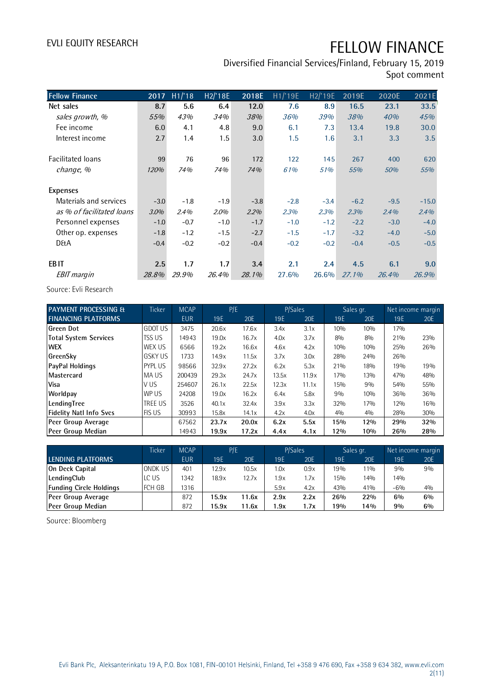Diversified Financial Services/Finland, February 15, 2019 Spot comment

| <b>Fellow Finance</b>     | 2017   | H1/18  | H2/'18E | 2018E  | H1/19E | H2/'19E | 2019E    | 2020E  | 2021E   |
|---------------------------|--------|--------|---------|--------|--------|---------|----------|--------|---------|
| Net sales                 | 8.7    | 5.6    | 6.4     | 12.0   | 7.6    | 8.9     | 16.5     | 23.1   | 33.5    |
| sales growth, %           | 55%    | 43%    | 34%     | 38%    | 36%    | 39%     | 38%      | 40%    | 45%     |
| Fee income                | 6.0    | 4.1    | 4.8     | 9.0    | 6.1    | 7.3     | 13.4     | 19.8   | 30.0    |
| Interest income           | 2.7    | 1.4    | 1.5     | 3.0    | 1.5    | 1.6     | 3.1      | 3.3    | 3.5     |
| <b>Facilitated loans</b>  | 99     | 76     | 96      | 172    | 122    | 145     | 267      | 400    | 620     |
| change, %                 | 120%   | 74%    | 74%     | 74%    | 61%    | 51%     | 55%      | 50%    | 55%     |
| <b>Expenses</b>           |        |        |         |        |        |         |          |        |         |
| Materials and services    | $-3.0$ | $-1.8$ | $-1.9$  | $-3.8$ | $-2.8$ | $-3.4$  | $-6.2$   | $-9.5$ | $-15.0$ |
| as % of facilitated loans | 3.0%   | 2.4%   | 2.0%    | 2.2%   | 2.3%   | 2.3%    | 2.3%     | 2.4%   | 2.4%    |
| Personnel expenses        | $-1.0$ | $-0.7$ | $-1.0$  | $-1.7$ | $-1.0$ | $-1.2$  | $-2.2$   | $-3.0$ | $-4.0$  |
| Other op. expenses        | $-1.8$ | $-1.2$ | $-1.5$  | $-2.7$ | $-1.5$ | $-1.7$  | $-3.2$   | $-4.0$ | $-5.0$  |
| <b>D&amp;A</b>            | $-0.4$ | $-0.2$ | $-0.2$  | $-0.4$ | $-0.2$ | $-0.2$  | $-0.4$   | $-0.5$ | $-0.5$  |
| EB <sub>IT</sub>          | 2.5    | 1.7    | 1.7     | 3.4    | 2.1    | 2.4     | 4.5      | 6.1    | 9.0     |
| <b>EBIT</b> margin        | 28.8%  | 29.9%  | 26.4%   | 28.1%  | 27.6%  | 26.6%   | $27.1\%$ | 26.4%  | 26.9%   |

Source: Evli Research

| <b>PAYMENT PROCESSING &amp;</b> | <b>Ticker</b>  | <b>MCAP</b> | P/E   |       | P/Sales |       | Sales gr. |     | Net income margin |     |
|---------------------------------|----------------|-------------|-------|-------|---------|-------|-----------|-----|-------------------|-----|
| <b>FINANCING PLATFORMS</b>      |                | <b>EUR</b>  | 19E   | 20E   | 19E     | 20E   | 19E       | 20E | 19E               | 20E |
| Green Dot                       | <b>GDOT US</b> | 3475        | 20.6x | 17.6x | 3.4x    | 3.1x  | 10%       | 10% | 17%               |     |
| Total System Services           | <b>TSS US</b>  | 14943       | 19.0x | 16.7x | 4.0x    | 3.7x  | 8%        | 8%  | 21%               | 23% |
| <b>WEX</b>                      | WEX US         | 6566        | 19.2x | 16.6x | 4.6x    | 4.2x  | 10%       | 10% | 25%               | 26% |
| GreenSky                        | <b>GSKY US</b> | 1733        | 14.9x | 11.5x | 3.7x    | 3.0x  | 28%       | 24% | 26%               |     |
| <b>PayPal Holdings</b>          | <b>PYPLUS</b>  | 98566       | 32.9x | 27.2x | 6.2x    | 5.3x  | 21%       | 18% | 19%               | 19% |
| Mastercard                      | MA US          | 200439      | 29.3x | 24.7x | 13.5x   | 11.9x | 17%       | 13% | 47%               | 48% |
| <b>Visa</b>                     | V US           | 254607      | 26.1x | 22.5x | 12.3x   | 11.1x | 15%       | 9%  | 54%               | 55% |
| Worldpay                        | WP US          | 24208       | 19.0x | 16.2x | 6.4x    | 5.8x  | 9%        | 10% | 36%               | 36% |
| LendingTree                     | <b>TREE US</b> | 3526        | 40.1x | 32.4x | 3.9x    | 3.3x  | 32%       | 17% | 12%               | 16% |
| <b>Fidelity Natl Info Svcs</b>  | <b>FIS US</b>  | 30993       | 15.8x | 14.1x | 4.2x    | 4.0x  | 4%        | 4%  | 28%               | 30% |
| Peer Group Average              |                | 67562       | 23.7x | 20.0x | 6.2x    | 5.5x  | 15%       | 12% | 29%               | 32% |
| Peer Group Median               |                | 14943       | 19.9x | 17.2x | 4.4x    | 4.1x  | 12%       | 10% | 26%               | 28% |

| Peer Group Median              |         | 14943       | 19.9x | 17.2x | 4.4x | 4.1x    | 12% | 10%       | 26%   | 28%               |
|--------------------------------|---------|-------------|-------|-------|------|---------|-----|-----------|-------|-------------------|
|                                |         |             |       |       |      |         |     |           |       |                   |
|                                | Ticker  | <b>MCAP</b> | P/E   |       |      | P/Sales |     | Sales gr. |       | Net income margin |
| LENDING PLATFORMS              |         | <b>EUR</b>  | 19E   | 20E   | 19E  | 20E     | 19E | 20E       | 19E   | 20E               |
| On Deck Capital                | ONDK US | 401         | 12.9x | 10.5x | 1.0x | 0.9x    | 19% | $11\%$    | 9%    | 9%                |
| LendingClub                    | LC US   | 1342        | 18.9x | 12.7x | 1.9x | 1.7x    | 15% | 14%       | 14%   |                   |
| <b>Funding Circle Holdings</b> | FCH GB  | 1316        |       |       | 5.9x | 4.2x    | 43% | 41%       | $-6%$ | 40/0              |
| Peer Group Average             |         | 872         | 15.9x | 11.6x | 2.9x | 2.2x    | 26% | 22%       | $6\%$ | $6\%$             |
| Peer Group Median              |         | 872         | 15.9x | 11.6x | 1.9x | 1.7x    | 19% | 14%       | 9%    | $6\%$             |

Source: Bloomberg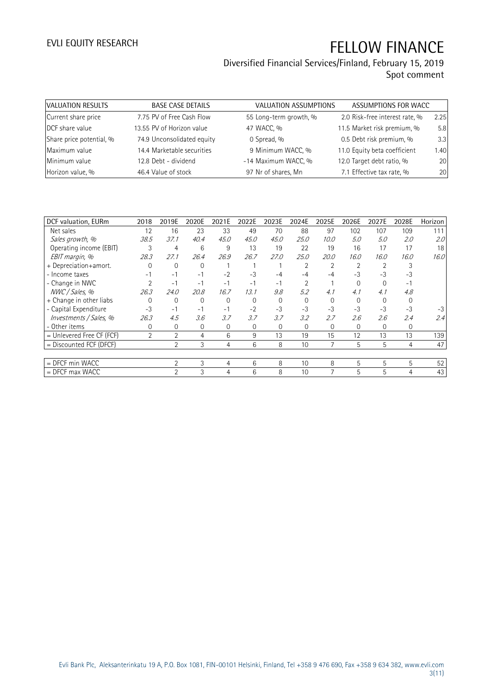### Diversified Financial Services/Finland, February 15, 2019 Spot comment

| VALUATION RESULTS        | <b>BASE CASE DETAILS</b>   | <b>VALUATION ASSUMPTIONS</b> | ASSUMPTIONS FOR WACC           |      |
|--------------------------|----------------------------|------------------------------|--------------------------------|------|
| Current share price      | 7.75 PV of Free Cash Flow  | 55 Long-term growth, %       | 2.0 Risk-free interest rate, % | 2.25 |
| DCF share value          | 13.55 PV of Horizon value  | 47 WACC, %                   | 11.5 Market risk premium, %    | 5.8  |
| Share price potential, % | 74.9 Unconsolidated equity | 0 Spread, %                  | 0.5 Debt risk premium, %       | 3.3  |
| Maximum value            | 14.4 Marketable securities | 9 Minimum WACC, %            | 11.0 Equity beta coefficient   | 1.40 |
| Minimum value            | 12.8 Debt - dividend       | -14 Maximum WACC, %          | 12.0 Target debt ratio, %      | 20   |
| Horizon value, %         | 46.4 Value of stock        | 97 Nr of shares, Mn          | 7.1 Effective tax rate, %      | 20   |

| DCF valuation, EURm         | 2018           | 2019E          | 2020E    | 2021E    | 2022E    | 2023E    | 2024E       | 2025E    | 2026E | 2027E    | 2028E       | Horizon |
|-----------------------------|----------------|----------------|----------|----------|----------|----------|-------------|----------|-------|----------|-------------|---------|
| Net sales                   | 12             | 16             | 23       | 33       | 49       | 70       | 88          | 97       | 102   | 107      | 109         | 111     |
| Sales growth, %             | 38.5           | 37.1           | 40.4     | 45.0     | 45.0     | 45.0     | 25.0        | 10.0     | 5.0   | 5.0      | 2.0         | 2.0     |
| Operating income (EBIT)     | 3              | 4              | 6        | 9        | 13       | 19       | 22          | 19       | 16    | 17       | 17          | 18      |
| EBIT margin, %              | 28.3           | 27.1           | 26.4     | 26.9     | 26.7     | 27.0     | 25.0        | 20.0     | 16.0  | 16.0     | 16.0        | 16.0    |
| + Depreciation+amort.       | 0              | $\mathbf 0$    | 0        |          |          |          |             |          |       |          |             |         |
| - Income taxes              | -1             | $-1$           | $-1$     | $-2$     | $-3$     | -4       | $-4$        | -4       | $-3$  | $-3$     | -3          |         |
| - Change in NWC             |                | $-1$           | $-1$     | $-1$     | $-1$     | $-1$     |             |          |       | $\Omega$ | - 1         |         |
| NWC / Sales, %              | 26.3           | 24.0           | 20.8     | 16.7     | 13.1     | 9.8      | 5.2         | 4.1      | 4.1   | 4.1      | 4.8         |         |
| + Change in other liabs     | $\Omega$       | 0              | 0        | $\Omega$ | $\Omega$ | $\Omega$ | $\Omega$    | $\Omega$ |       | 0        |             |         |
| - Capital Expenditure       | $-3$           | $-1$           | $-1$     | $-1$     | $-2$     | $-3$     | $-3$        | $-3$     | $-3$  | $-3$     | $-3$        | -3      |
| Investments / Sales, %      | 26.3           | 4.5            | 3.6      | 3.7      | 3.7      | 3.7      | 3.2         | 2.7      | 2.6   | 2.6      | 2.4         | 2.4     |
| - Other items               | $\Omega$       | 0              | $\Omega$ | 0        | $\Omega$ | $\Omega$ | $\mathbf 0$ | $\Omega$ | 0     | $\Omega$ | $\mathbf 0$ |         |
| $=$ Unlevered Free CF (FCF) | $\overline{2}$ | $\overline{2}$ | 4        | 6        | 9        | 13       | 19          | 15       | 12    | 13       | 13          | 139     |
| = Discounted FCF (DFCF)     |                | $\overline{2}$ | 3        | 4        | 6        | 8        | 10          | 7        | 5     | 5        | 4           | 47      |
|                             |                |                |          |          |          |          |             |          |       |          |             |         |
| = DFCF min WACC             |                | $\overline{2}$ | 3        | 4        | 6        | 8        | 10          | 8        | 5     | 5        | 5           | 52      |
| $=$ DFCF max WACC           |                | $\overline{2}$ | 3        | 4        | 6        | 8        | 10          |          | 5     | 5        | 4           | 43      |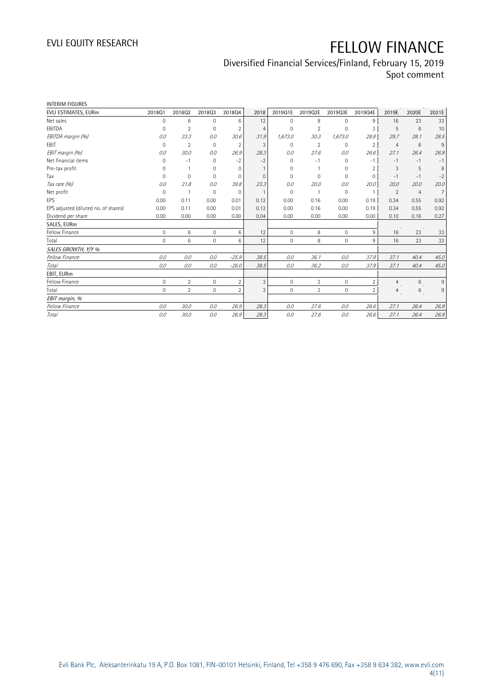### Diversified Financial Services/Finland, February 15, 2019

Spot comment

| <b>INTERIM FIGURES</b>               |                     |                |              |                |                |              |                |         |                |                |                |                |
|--------------------------------------|---------------------|----------------|--------------|----------------|----------------|--------------|----------------|---------|----------------|----------------|----------------|----------------|
| EVLI ESTIMATES, EURm                 | 201801              | 201802         | 201803       | 201804         | 2018           | 2019Q1E      | 2019Q2E        | 2019Q3E | 2019Q4E        | 2019E          | 2020E          | 2021E          |
| Net sales                            | $\mathbf 0$         | 6              | $\mathbf 0$  | 6              | 12             | $\mathbf{0}$ | 8              | 0       | 9              | 16             | 23             | 33             |
| EBITDA                               | 0                   | $\overline{2}$ | $\mathbf 0$  | $\overline{2}$ | $\overline{4}$ | $\mathbf{0}$ | $\overline{2}$ | 0       | 3              | 5              | 6              | 10             |
| EBITDA margin (%)                    | 0.0                 | 33.3           | 0.0          | 30.6           | 31.9           | 1,673.0      | 30.3           | 1,673.0 | 28.8           | 29.7           | 28.1           | 28.5           |
| EBIT                                 | $\mathbf 0$         | $\overline{2}$ | $\mathbf 0$  | $\overline{2}$ | 3              | $\mathbf{0}$ | $\overline{2}$ | 0       | $\overline{2}$ | $\overline{4}$ | 6              | 9              |
| EBIT margin (%)                      | 0.0                 | 30.0           | 0.0          | 26.9           | 28.3           | 0.0          | 27.6           | 0.0     | 26.6           | 27.1           | 26.4           | 26.9           |
| Net financial items                  | 0                   | $-1$           | $\mathbf 0$  | $-2$           | $-2$           | 0            | $-1$           | 0       | $-1$           | $-1$           | $-1$           | $-1$           |
| Pre-tax profit                       | $\mathbf 0$         |                | $\mathbf{0}$ | $\mathbf{0}$   | $\mathbf{1}$   | $\mathbf{0}$ |                | 0       | $\overline{2}$ | 3              | 5              | 8              |
| Tax                                  | $\mathbf 0$         | $\mathbf 0$    | $\mathbf{0}$ | 0              | $\mathbf{0}$   | $\Omega$     | 0              | 0       | $\mathbf 0$    | $-1$           | $-1$           | $-2$           |
| Tax rate (%)                         | 0.0                 | 21.8           | 0.0          | 39.8           | 23.3           | 0.0          | 20.0           | 0.0     | 20.0           | 20.0           | 20.0           | 20.0           |
| Net profit                           | $\mathbf 0$         |                | $\mathbf 0$  | $\mathbf 0$    | $\mathbf{1}$   | $\mathbf 0$  | $\mathbf{1}$   | 0       | $\overline{1}$ | 2              | $\overline{4}$ | $\overline{7}$ |
| EPS                                  | 0.00                | 0.11           | 0.00         | 0.01           | 0.12           | 0.00         | 0.16           | 0.00    | 0.19           | 0.34           | 0.55           | 0.92           |
| EPS adjusted (diluted no. of shares) | 0.00                | 0.11           | 0.00         | 0.01           | 0.12           | 0.00         | 0.16           | 0.00    | 0.19           | 0.34           | 0.55           | 0.92           |
| Dividend per share                   | 0.00                | 0.00           | 0.00         | 0.00           | 0.04           | 0.00         | 0.00           | 0.00    | 0.00           | 0.10           | 0.16           | 0.27           |
| SALES, EURm                          |                     |                |              |                |                |              |                |         |                |                |                |                |
| Fellow Finance                       | $\mathsf{O}\xspace$ | 6              | $\mathbf 0$  | 6              | 12             | $\mathbf{0}$ | 8              | 0       | 9              | 16             | 23             | 33             |
| Total                                | $\mathbf{0}$        | 6              | $\mathbf{0}$ | 6              | 12             | $\mathbf{0}$ | 8              | 0       | 9              | 16             | 23             | 33             |
| SALES GROWTH, Y/Y %                  |                     |                |              |                |                |              |                |         |                |                |                |                |
| Fellow Finance                       | 0.0                 | 0.0            | 0.0          | $-25.9$        | 38.5           | 0.0          | 36.1           | 0.0     | 37.9           | 37.1           | 40.4           | 45.0           |
| Total                                | 0.0                 | 0.0            | 0.0          | $-26.0$        | 38.5           | 0.0          | 36.2           | 0.0     | 37.9           | 37.1           | 40.4           | 45.0           |
| EBIT, EURm                           |                     |                |              |                |                |              |                |         |                |                |                |                |
| Fellow Finance                       | $\mathsf{O}\xspace$ | $\overline{2}$ | $\mathbf 0$  | $\overline{2}$ | 3              | $\mathbf 0$  | $\overline{2}$ | 0       | $\overline{2}$ | 4              | $6\,$          | 9              |
| Total                                | $\mathbf 0$         | $\overline{2}$ | $\mathbf{0}$ | $\overline{2}$ | 3              | $\mathbf{0}$ | $\overline{2}$ | 0       | $\overline{2}$ | 4              | 6              | $\,9$          |
| EBIT margin, %                       |                     |                |              |                |                |              |                |         |                |                |                |                |
| Fellow Finance                       | 0.0                 | 30.0           | 0.0          | 26.9           | 28.3           | 0.0          | 27.6           | 0.0     | 26.6           | 27.1           | 26.4           | 26.9           |
| Total                                | 0.0                 | 30.0           | 0.0          | 26.9           | 28.3           | 0.0          | 27.6           | 0.0     | 26.6           | 27.1           | 26.4           | 26.9           |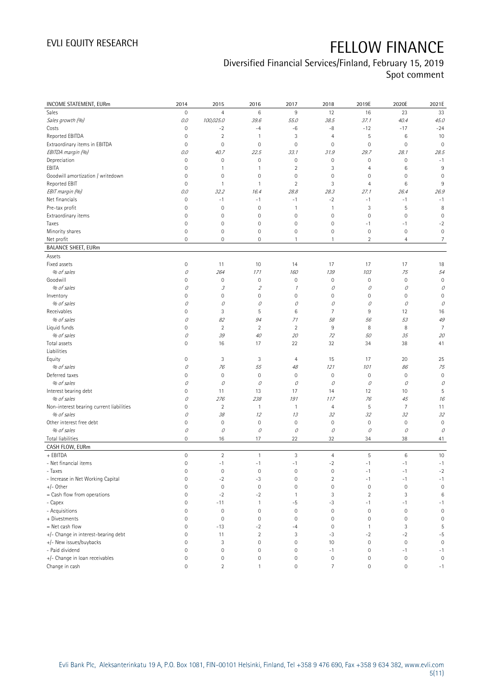### Diversified Financial Services/Finland, February 15, 2019

Spot comment

| INCOME STATEMENT, EURm                   | 2014                | 2015                | 2016                        | 2017                | 2018                      | 2019E               | 2020E               | 2021E               |
|------------------------------------------|---------------------|---------------------|-----------------------------|---------------------|---------------------------|---------------------|---------------------|---------------------|
| Sales                                    | $\mathbb O$         | $\overline{4}$      | 6                           | $9\,$               | 12                        | 16                  | 23                  | 33                  |
| Sales growth (%)                         | 0.0                 | 100,025.0           | 39.6                        | 55.0                | 38.5                      | 37.1                | 40.4                | 45.0                |
| Costs                                    | 0                   | $-2$                | $-4$                        | $-6$                | -8                        | $-12$               | $-17$               | $-24$               |
| Reported EBITDA                          | 0                   | $\sqrt{2}$          | 1                           | 3                   | $\overline{4}$            | 5                   | 6                   | 10                  |
| Extraordinary items in EBITDA            | 0                   | $\mathbf 0$         | $\mathsf{O}\xspace$         | $\mathsf{O}\xspace$ | $\mathbf 0$               | $\mathbf 0$         | $\mathbf 0$         | $\mathbf 0$         |
| EBITDA margin (%)                        | 0.0                 | 40.7                | 22.5                        | 33.1                | 31.9                      | 29.7                | 28.1                | 28.5                |
| Depreciation                             | 0                   | $\mathbf 0$         | 0                           | $\mathsf{O}\xspace$ | $\mathbf 0$               | $\mathsf{O}\xspace$ | 0                   | $-1$                |
| EBITA                                    | $\mathbf 0$         | $\mathbf{1}$        | 1                           | $\sqrt{2}$          | 3                         | $\overline{4}$      | 6                   | 9                   |
| Goodwill amortization / writedown        | $\mathsf{O}\xspace$ | $\mathbf 0$         | 0                           | 0                   | $\mathbf 0$               | 0                   | 0                   | 0                   |
| Reported EBIT                            | 0                   | $\overline{1}$      | $\mathbf{1}$                | $\overline{2}$      | 3                         | 4                   | 6                   | 9                   |
| EBIT margin (%)                          | 0.0                 | 32.2                | 16.4                        | 28.8                | 28.3                      | 27.1                | 26.4                | 26.9                |
| Net financials                           | $\mathsf{O}\xspace$ | $-1$                | $-1$                        | $-1$                | $-2$                      | $-1$                | $-1$                | $-1$                |
| Pre-tax profit                           | $\overline{0}$      | $\mathbf 0$         | $\mathsf{O}\xspace$         | $\mathbf{1}$        | $\mathbf{1}$              | 3                   | 5                   | 8                   |
| Extraordinary items                      | 0                   | $\mathbf 0$         | 0                           | $\mathsf{O}\xspace$ | $\mathbf 0$               | $\mathsf{O}\xspace$ | 0                   | $\mathbf 0$         |
| Taxes                                    | 0                   | $\mathbf 0$         | $\mathsf{O}\xspace$         | $\mathsf{O}\xspace$ | $\mathbf 0$               | $-1$                | $-1$                | $-2$                |
| Minority shares                          | 0                   | $\mathbf 0$         | 0                           | $\mathsf{O}\xspace$ | $\mathbf 0$               | $\mathbf 0$         | $\mathbf 0$         | $\mathbb O$         |
| Net profit                               | 0                   | $\mathbf 0$         | 0                           | 1                   | $\mathbf{1}$              | $\overline{2}$      | $\overline{4}$      | $\overline{7}$      |
| <b>BALANCE SHEET, EURm</b>               |                     |                     |                             |                     |                           |                     |                     |                     |
| Assets                                   |                     |                     |                             |                     |                           |                     |                     |                     |
| Fixed assets                             | 0                   | 11                  | 10                          | 14                  | 17                        | 17                  | 17                  | 18                  |
| % of sales                               | 0                   | 264                 | 171                         | 160                 | 139                       | 103                 | 75                  | 54                  |
| Goodwill                                 | $\mathbf 0$         | $\mathbb O$         | 0                           | $\mathsf{O}\xspace$ | $\mathbf 0$               | $\mathbf 0$         | 0                   | $\mathbb O$         |
| % of sales                               | 0                   | 3                   | $\mathcal{Z}$               | $\mathcal I$        | 0                         | 0                   | 0                   | 0                   |
| Inventory                                | 0                   | $\mathbf 0$         | 0                           | 0                   | $\mathbf 0$               | $\mathsf{O}\xspace$ | 0                   | $\mathbf 0$         |
| % of sales                               | 0                   | 0                   | 0                           | 0                   | 0                         | 0                   | 0                   | 0                   |
| Receivables                              | $\mathbf 0$         | $\sqrt{3}$          | 5                           | $\,6$               | $\overline{7}$            | 9                   | 12                  | 16                  |
| % of sales                               | 0                   | 82                  | 94                          | 71                  | 58                        | 56                  | 53                  | 49                  |
| Liquid funds                             | $\mathbf 0$         | $\overline{2}$      | $\sqrt{2}$                  | $\sqrt{2}$          | $9\,$                     | 8                   | $\, 8$              | $\overline{7}$      |
| % of sales                               | 0                   | 39                  | $40\,$                      | 20                  | 72                        | 50                  | 35                  | 20                  |
| Total assets                             | $\mathbf 0$         | 16                  | 17                          | 22                  | 32                        | 34                  | 38                  | 41                  |
| Liabilities                              |                     |                     |                             |                     |                           |                     |                     |                     |
| Equity                                   | $\mathsf{O}\xspace$ | 3                   | 3                           | 4                   | 15                        | 17                  | 20                  | 25                  |
| % of sales                               | 0                   | 76                  | 55                          | 48                  | 121                       | 101                 | 86                  | 75                  |
| Deferred taxes                           | 0                   | $\mathbf 0$         | $\mathbf 0$                 | $\mathsf{O}\xspace$ | $\mathbf 0$               | $\mathbb O$         | $\bf 0$             | $\mathbf 0$         |
| % of sales                               | 0                   | 0                   | 0                           | 0                   | 0                         | 0                   | 0                   | 0                   |
| Interest bearing debt                    | 0                   | 11                  | 13                          | 17                  | 14                        | 12                  | 10                  | 5                   |
| % of sales                               | 0                   | 276                 | 238                         | 191                 | 117                       | 76                  | 45                  | 16                  |
| Non-interest bearing current liabilities | 0                   | $\overline{2}$      | $\mathbf{1}$                | $\mathbf{1}$        | $\overline{4}$            | 5                   | $\overline{7}$      | 11                  |
| % of sales                               | 0                   | 38                  | 12                          | 13                  | 32                        | 32                  | 32                  | 32                  |
| Other interest free debt                 | 0                   | $\mathbf 0$         | 0                           | $\mathsf{O}\xspace$ | $\mathbf 0$               | $\mathbf 0$         | $\mathbb O$         | $\circ$             |
| % of sales                               | 0                   | 0                   | 0                           | $\mathcal O$        | 0                         | 0                   | 0                   | 0                   |
| Total liabilities                        | $\mathbf 0$         | 16                  | 17                          | 22                  | 32                        | 34                  | 38                  | 41                  |
| CASH FLOW, EURm                          |                     |                     |                             |                     |                           |                     |                     |                     |
| + EBITDA                                 | $\mathsf{O}\xspace$ | $\overline{2}$      | 1                           | 3                   | $\overline{4}$            | 5                   | 6                   | 10                  |
|                                          | $\mathsf{O}\xspace$ |                     |                             |                     |                           |                     |                     |                     |
| - Net financial items                    |                     | $-1$                | $-1$                        | $-1$                | $-2$                      | $-1$                | $-1$                | $-1$                |
| - Taxes                                  | 0                   | 0                   | 0                           | 0                   | 0                         | -1                  | $-1$                | $-2$                |
| - Increase in Net Working Capital        | 0                   | $-2$<br>$\mathbf 0$ | $-3$<br>$\mathsf{O}\xspace$ | $\mathbb O$         | $\sqrt{2}$<br>$\mathbf 0$ | $-1$<br>$\mathbf 0$ | $-1$                | $-1$                |
| $+/-$ Other                              | 0                   |                     |                             | $\mathsf{O}\xspace$ |                           |                     | $\mathbf 0$         | $\mathbf 0$         |
| = Cash flow from operations              | 0                   | $-2$                | $-2$                        | 1                   | 3                         | $\overline{2}$      | 3                   | $\,6$               |
| - Capex                                  | 0                   | $-11$               | 1                           | -5                  | $-3$                      | $-1$                | $-1$                | $-1$                |
| - Acquisitions                           | 0                   | $\mathbb O$         | $\mathbb O$                 | $\mathbb O$         | $\mathbf 0$               | $\mathbb O$         | $\mathbf 0$         | $\mathbf 0$         |
| + Divestments                            | 0                   | $\mathbf 0$         | $\mathsf 0$                 | $\mathsf{O}\xspace$ | $\mathbf 0$               | $\mathbf 0$         | $\mathbf 0$         | $\mathbf 0$         |
| = Net cash flow                          | $\mathbf 0$         | $-13$               | $-2$                        | -4                  | $\mathbf 0$               | $\overline{1}$      | 3                   | 5                   |
| +/- Change in interest-bearing debt      | 0                   | 11                  | $\overline{2}$              | 3                   | $-3$                      | $-2$                | $-2$                | $-5$                |
| +/- New issues/buybacks                  | 0                   | $\sqrt{3}$          | $\mathsf{O}\xspace$         | $\mathsf{O}\xspace$ | 10                        | $\mathbb O$         | $\,0\,$             | $\mathsf{O}\xspace$ |
| - Paid dividend                          | 0                   | $\mathbf 0$         | $\mathsf{O}\xspace$         | $\mathsf{O}\xspace$ | $-1$                      | $\mathbf 0$         | $-1$                | $-1$                |
| +/- Change in loan receivables           | 0                   | $\mathbb O$         | 0                           | 0                   | $\mathbf 0$               | $\mathbb O$         | $\boldsymbol{0}$    | $\mathsf{O}\xspace$ |
| Change in cash                           | $\mathsf{O}\xspace$ | $\sqrt{2}$          | $\mathbf{1}$                | $\mathsf{O}\xspace$ | $\overline{7}$            | $\mathsf{O}\xspace$ | $\mathsf{O}\xspace$ | $-1$                |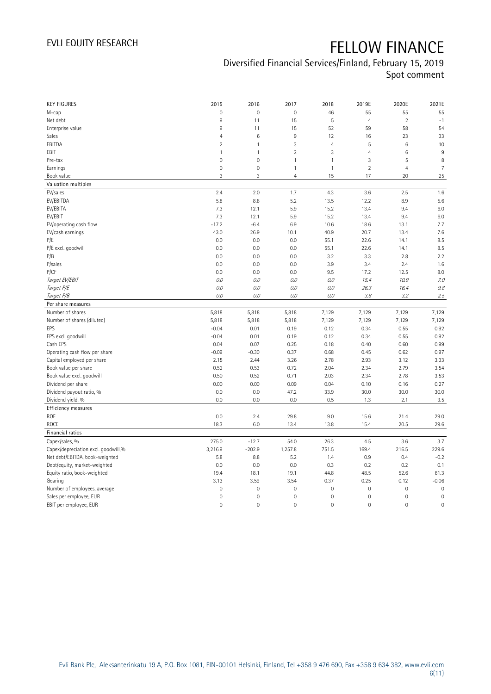### Diversified Financial Services/Finland, February 15, 2019 Spot comment

| <b>KEY FIGURES</b>                  | 2015                | 2016                | 2017           | 2018                | 2019E          | 2020E          | 2021E          |
|-------------------------------------|---------------------|---------------------|----------------|---------------------|----------------|----------------|----------------|
| M-cap                               | $\mathbf 0$         | $\mathsf{O}\xspace$ | $\mathbf 0$    | 46                  | 55             | 55             | 55             |
| Net debt                            | $\overline{9}$      | 11                  | 15             | 5                   | $\overline{4}$ | $\sqrt{2}$     | $-1$           |
| Enterprise value                    | 9                   | 11                  | 15             | 52                  | 59             | 58             | 54             |
| Sales                               | $\overline{4}$      | $\,6$               | 9              | 12                  | 16             | 23             | 33             |
| EBITDA                              | $\overline{2}$      | $\mathbf{1}$        | 3              | $\overline{4}$      | 5              | 6              | 10             |
| EBIT                                | $\mathbf{1}$        | $\mathbf{1}$        | $\overline{2}$ | 3                   | $\overline{4}$ | $6\phantom{1}$ | $9\,$          |
| Pre-tax                             | $\overline{0}$      | $\mathsf{O}\xspace$ | $\mathbf{1}$   | $\mathbf{1}$        | 3              | 5              | 8              |
| Earnings                            | $\mathsf{O}\xspace$ | $\mathsf{O}\xspace$ | $\mathbf{1}$   | $\mathbf{1}$        | $\sqrt{2}$     | $\overline{4}$ | $\overline{7}$ |
| Book value                          | 3                   | 3                   | $\overline{4}$ | 15                  | 17             | 20             | 25             |
| Valuation multiples                 |                     |                     |                |                     |                |                |                |
| EV/sales                            | 2.4                 | 2.0                 | 1.7            | 4.3                 | 3.6            | 2.5            | 1.6            |
| EV/EBITDA                           | 5.8                 | 8.8                 | 5.2            | 13.5                | 12.2           | 8.9            | 5.6            |
| EV/EBITA                            | 7.3                 | 12.1                | 5.9            | 15.2                | 13.4           | 9.4            | 6.0            |
| EV/EBIT                             | 7.3                 | 12.1                | 5.9            | 15.2                | 13.4           | 9.4            | 6.0            |
| EV/operating cash flow              | $-17.2$             | $-6.4$              | 6.9            | 10.6                | 18.6           | 13.1           | 7.7            |
| EV/cash earnings                    | 43.0                | 26.9                | 10.1           | 40.9                | 20.7           | 13.4           | 7.6            |
| P/E                                 | 0.0                 | 0.0                 | 0.0            | 55.1                | 22.6           | 14.1           | 8.5            |
| P/E excl. goodwill                  | 0.0                 | 0.0                 | 0.0            | 55.1                | 22.6           | 14.1           | 8.5            |
| P/B                                 | 0.0                 | 0.0                 | 0.0            | 3.2                 | 3.3            | 2.8            | 2.2            |
| P/sales                             | 0.0                 | 0.0                 | 0.0            | 3.9                 | 3.4            | 2.4            | 1.6            |
| P/CF                                | 0.0                 | 0.0                 | 0.0            | 9.5                 | 17.2           | 12.5           | 8.0            |
| Target EV/EBIT                      | 0.0                 | 0.0                 | 0.0            | 0.0                 | 15.4           | 10.9           | 7.0            |
| Target P/E                          | 0.0                 | 0.0                 | 0.0            | 0.0                 | 26.3           | 16.4           | 9.8            |
| Target P/B                          | 0.0                 | 0.0                 | 0.0            | 0.0                 | 3.8            | 3.2            | 2.5            |
| Per share measures                  |                     |                     |                |                     |                |                |                |
| Number of shares                    | 5,818               | 5,818               | 5,818          | 7,129               | 7,129          | 7,129          | 7,129          |
| Number of shares (diluted)          | 5,818               | 5,818               | 5,818          | 7,129               | 7,129          | 7,129          | 7,129          |
| <b>FPS</b>                          | $-0.04$             | 0.01                | 0.19           | 0.12                | 0.34           | 0.55           | 0.92           |
| EPS excl. goodwill                  | $-0.04$             | 0.01                | 0.19           | 0.12                | 0.34           | 0.55           | 0.92           |
| Cash EPS                            | 0.04                | 0.07                | 0.25           | 0.18                | 0.40           | 0.60           | 0.99           |
| Operating cash flow per share       | $-0.09$             | $-0.30$             | 0.37           | 0.68                | 0.45           | 0.62           | 0.97           |
| Capital employed per share          | 2.15                | 2.44                | 3.26           | 2.78                | 2.93           | 3.12           | 3.33           |
| Book value per share                | 0.52                | 0.53                | 0.72           | 2.04                | 2.34           | 2.79           | 3.54           |
| Book value excl. goodwill           | 0.50                | 0.52                | 0.71           | 2.03                | 2.34           | 2.78           | 3.53           |
| Dividend per share                  | 0.00                | 0.00                | 0.09           | 0.04                | 0.10           | 0.16           | 0.27           |
| Dividend payout ratio, %            | 0.0                 | 0.0                 | 47.2           | 33.9                | 30.0           | 30.0           | 30.0           |
| Dividend yield, %                   | 0.0                 | 0.0                 | 0.0            | 0.5                 | 1.3            | 2.1            | 3.5            |
| Efficiency measures                 |                     |                     |                |                     |                |                |                |
| ROE                                 | 0.0                 | 2.4                 | 29.8           | 9.0                 | 15.6           | 21.4           | 29.0           |
| ROCE                                | 18.3                | 6.0                 | 13.4           | 13.8                | 15.4           | 20.5           | 29.6           |
| Financial ratios                    |                     |                     |                |                     |                |                |                |
| Capex/sales, %                      | 275.0               | $-12.7$             | 54.0           | 26.3                | 4.5            | 3.6            | 3.7            |
| Capex/depreciation excl. goodwill,% | 3,216.9             | $-202.9$            | 1,257.8        | 751.5               | 169.4          | 216.5          | 229.6          |
| Net debt/EBITDA, book-weighted      | 5.8                 | 8.8                 | 5.2            | 1.4                 | 0.9            | 0.4            | $-0.2$         |
| Debt/equity, market-weighted        | 0.0                 | 0.0                 | 0.0            | 0.3                 | 0.2            | 0.2            | 0.1            |
| Equity ratio, book-weighted         | 19.4                | 18.1                | 19.1           | 44.8                | 48.5           | 52.6           | 61.3           |
| Gearing                             | 3.13                | 3.59                | 3.54           | 0.37                | 0.25           | 0.12           | $-0.06$        |
| Number of employees, average        | $\mathbf 0$         | $\mathsf 0$         | $\mathbf 0$    | $\mathbf 0$         | $\mathbf 0$    | $\mathbf 0$    | $\mathbf 0$    |
| Sales per employee, EUR             | $\mathbf 0$         | $\mathsf{O}\xspace$ | $\mathbf 0$    | $\mathsf{O}\xspace$ | $\mathbf 0$    | $\mathbf 0$    | $\mathbf 0$    |
| EBIT per employee, EUR              | $\mathbf 0$         | $\mathsf{O}\xspace$ | $\mathbf 0$    | $\mathsf{O}\xspace$ | $\mathbf 0$    | $\mathbf 0$    | $\mathbf 0$    |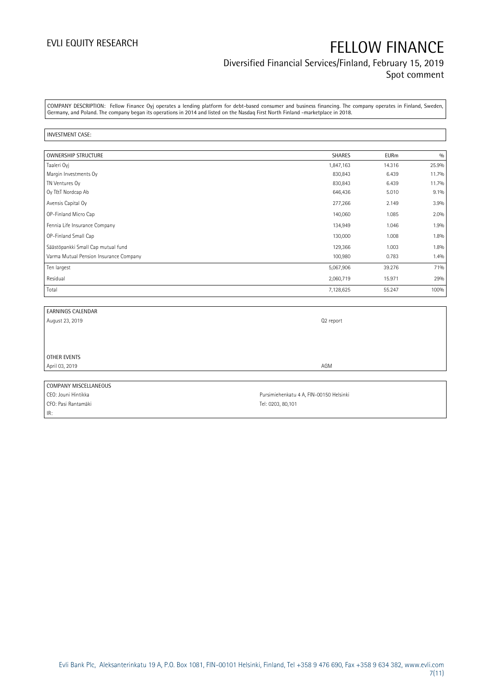### Diversified Financial Services/Finland, February 15, 2019 Spot comment

COMPANY DESCRIPTION: Fellow Finance Oyj operates a lending platform for debt-based consumer and business financing. The company operates in Finland, Sweden, Germany, and Poland. The company began its operations in 2014 and listed on the Nasdaq First North Finland -marketplace in 2018.

### INVESTMENT CASE:

| <b>OWNERSHIP STRUCTURE</b>             | <b>SHARES</b> | <b>EURm</b> | 0/0     |
|----------------------------------------|---------------|-------------|---------|
| Taaleri Oyj                            | 1,847,163     | 14.316      | 25.9%   |
| Margin Investments Oy                  | 830,843       | 6.439       | 11.7%   |
| TN Ventures Oy                         | 830,843       | 6.439       | 11.7%   |
| Oy T&T Nordcap Ab                      | 646,436       | 5.010       | $9.1\%$ |
| Avensis Capital Oy                     | 277,266       | 2.149       | 3.9%    |
| OP-Finland Micro Cap                   | 140,060       | 1.085       | 2.0%    |
| Fennia Life Insurance Company          | 134,949       | 1.046       | 1.9%    |
| OP-Finland Small Cap                   | 130,000       | 1.008       | 1.8%    |
| Säästöpankki Small Cap mutual fund     | 129,366       | 1.003       | 1.8%    |
| Varma Mutual Pension Insurance Company | 100,980       | 0.783       | 1.4%    |
| Ten largest                            | 5,067,906     | 39.276      | 71%     |
| Residual                               | 2,060,719     | 15.971      | 29%     |
| Total                                  | 7,128,625     | 55.247      | 100%    |

| <b>EARNINGS CALENDAR</b> |                                         |
|--------------------------|-----------------------------------------|
| August 23, 2019          | Q2 report                               |
|                          |                                         |
|                          |                                         |
|                          |                                         |
| OTHER EVENTS             |                                         |
| April 03, 2019           | AGM                                     |
|                          |                                         |
| COMPANY MISCELLANEOUS    |                                         |
| CEO: Jouni Hintikka      | Pursimiehenkatu 4 A, FIN-00150 Helsinki |

CFO: Pasi Rantamäki Tel: 0203, 80,101 IR: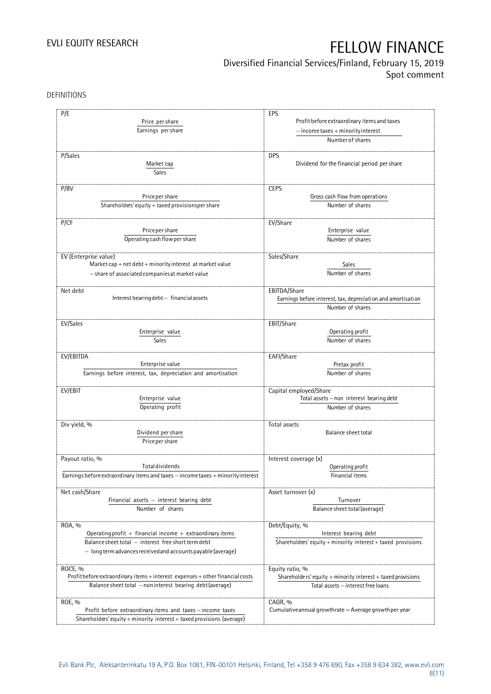Diversified Financial Services/Finland, February 15, 2019

Spot comment

DEFINITIONS

| P/E                                                                              | EPS                                                                                 |  |  |
|----------------------------------------------------------------------------------|-------------------------------------------------------------------------------------|--|--|
| Price per share                                                                  |                                                                                     |  |  |
|                                                                                  | Profit before extraordinary items and taxes<br>$-$ income taxes + minority interest |  |  |
| Earnings per share                                                               |                                                                                     |  |  |
|                                                                                  | Number of shares                                                                    |  |  |
|                                                                                  |                                                                                     |  |  |
| P/Sales                                                                          | <b>DPS</b>                                                                          |  |  |
| Market cap                                                                       | Dividend for the financial period per share                                         |  |  |
| Sales                                                                            |                                                                                     |  |  |
| P/BV                                                                             | <b>CEPS</b>                                                                         |  |  |
| Price per share                                                                  | Gross cash flow from operations                                                     |  |  |
| Shareholders' equity + taxed provisionsper share                                 | Number of shares                                                                    |  |  |
|                                                                                  |                                                                                     |  |  |
| P/CF                                                                             | EV/Share                                                                            |  |  |
| Price per share                                                                  | Enterprise value                                                                    |  |  |
| Operating cash flow per share                                                    | Number of shares                                                                    |  |  |
|                                                                                  |                                                                                     |  |  |
| EV (Enterprise value)                                                            | Sales/Share                                                                         |  |  |
| Market cap + net debt + minority interest at market value                        | Sales                                                                               |  |  |
| - share of associated companies at market value                                  | Number of shares                                                                    |  |  |
|                                                                                  |                                                                                     |  |  |
| Net debt                                                                         | EBITDA/Share                                                                        |  |  |
| Interest bearing debt - financial assets                                         | Earnings before interest, tax, depreciation and amortisation                        |  |  |
|                                                                                  | Number of shares                                                                    |  |  |
|                                                                                  |                                                                                     |  |  |
| EV/Sales                                                                         | EBIT/Share                                                                          |  |  |
| Enterprise value                                                                 | Operating profit                                                                    |  |  |
| Sales                                                                            | Number of shares                                                                    |  |  |
|                                                                                  |                                                                                     |  |  |
| EV/EBITDA                                                                        | EAFI/Share                                                                          |  |  |
| Enterprise value                                                                 | Pretax profit<br>Number of shares                                                   |  |  |
| Earnings before interest, tax, depreciation and amortisation                     |                                                                                     |  |  |
|                                                                                  |                                                                                     |  |  |
| EV/EBIT                                                                          | Capital employed/Share                                                              |  |  |
| Enterprise value                                                                 | Total assets - non interest bearing debt                                            |  |  |
| Operating profit                                                                 | Number of shares                                                                    |  |  |
|                                                                                  |                                                                                     |  |  |
| Div yield, %                                                                     | Total assets                                                                        |  |  |
| Dividend per share                                                               | Balance sheet total                                                                 |  |  |
| Price per share                                                                  |                                                                                     |  |  |
|                                                                                  |                                                                                     |  |  |
| Payout ratio, %                                                                  | Interest coverage (x)                                                               |  |  |
| <b>Total dividends</b>                                                           | Operating profit                                                                    |  |  |
| Earnings before extraordinary items and taxes - income taxes + minority interest | Financial items                                                                     |  |  |
|                                                                                  |                                                                                     |  |  |
| Net cash/Share                                                                   | Asset turnover (x)                                                                  |  |  |
| Financial assets $-$ interest bearing debt                                       | Turnover                                                                            |  |  |
| Number of shares                                                                 | Balance sheet total (average)                                                       |  |  |
|                                                                                  |                                                                                     |  |  |
| ROA, %<br>Operating profit + financial income + extraordinary items              | Debt/Equity, %<br>Interest bearing debt                                             |  |  |
| Balance sheet total - interest free short term debt                              | Shareholders' equity + minority interest + taxed provisions                         |  |  |
|                                                                                  |                                                                                     |  |  |
| - long term advances received and accounts payable (average)                     |                                                                                     |  |  |
| ROCE, %                                                                          |                                                                                     |  |  |
| Profit before extraordinary items + interest expenses + other financial costs    | Equity ratio, %<br>Shareholders' equity + minority interest + taxed provisions      |  |  |
|                                                                                  |                                                                                     |  |  |
| Balance sheet total - noninterest bearing debt (average)                         | Total assets - interest free loans                                                  |  |  |
|                                                                                  |                                                                                     |  |  |
| ROE, %                                                                           | CAGR, %<br>Cumulative annual growthrate $=$ Average growthper year                  |  |  |
| Profit before extraordinary items and taxes - income taxes                       |                                                                                     |  |  |
| Shareholders' equity + minority interest + taxed provisions (average)            |                                                                                     |  |  |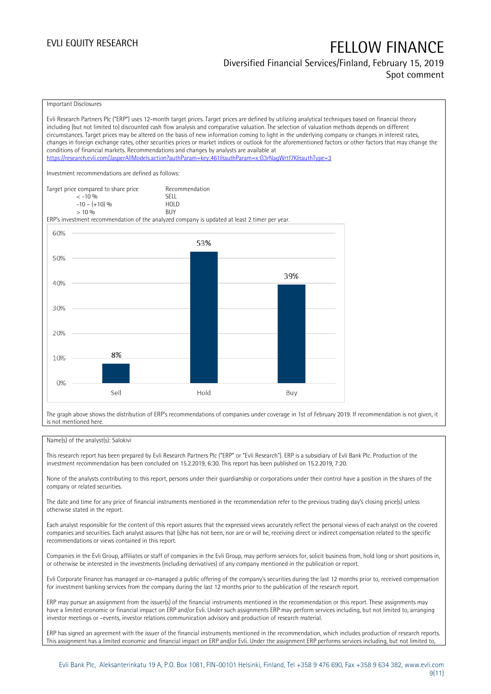## Diversified Financial Services/Finland, February 15, 2019

### Spot comment



Evli Research Partners Plc ("ERP") uses 12-month target prices. Target prices are defined by utilizing analytical techniques based on financial theory including (but not limited to) discounted cash flow analysis and comparative valuation. The selection of valuation methods depends on different circumstances. Target prices may be altered on the basis of new information coming to light in the underlying company or changes in interest rates, changes in foreign exchange rates, other securities prices or market indices or outlook for the aforementioned factors or other factors that may change the conditions of financial markets. Recommendations and changes by analysts are available at <https://research.evli.com/JasperAllModels.action?authParam=key;461&authParam=x;G3rNagWrtf7K&authType=3> Investment recommendations are defined as follows: Target price compared to share price Recommendation<br>  $\leq 10\%$  $\langle 5, 10, 10 \rangle$  SELL<br>  $\langle -10, 1, 10 \rangle$   $\langle 6, 10 \rangle$   $\langle 10, 10 \rangle$  $-10 - (+10) \%$  HOL<br>  $> 10 \%$  RIJY  $> 10\%$ ERP's investment recommendation of the analyzed company is updated at least 2 timer per year. 60% 53% 50% 39% 40% 30% 20% 8% 10%  $0%$ Sell Hold Buy

The graph above shows the distribution of ERP's recommendations of companies under coverage in 1st of February 2019. If recommendation is not given, it is not mentioned here.

### Name(s) of the analyst(s): Salokivi

This research report has been prepared by Evli Research Partners Plc ("ERP" or "Evli Research"). ERP is a subsidiary of Evli Bank Plc. Production of the investment recommendation has been concluded on 15.2.2019, 6:30. This report has been published on 15.2.2019, 7:20.

None of the analysts contributing to this report, persons under their guardianship or corporations under their control have a position in the shares of the company or related securities.

The date and time for any price of financial instruments mentioned in the recommendation refer to the previous trading day's closing price(s) unless otherwise stated in the report.

Each analyst responsible for the content of this report assures that the expressed views accurately reflect the personal views of each analyst on the covered companies and securities. Each analyst assures that (s)he has not been, nor are or will be, receiving direct or indirect compensation related to the specific recommendations or views contained in this report.

Companies in the Evli Group, affiliates or staff of companies in the Evli Group, may perform services for, solicit business from, hold long or short positions in, or otherwise be interested in the investments (including derivatives) of any company mentioned in the publication or report.

Evli Corporate Finance has managed or co-managed a public offering of the company's securities during the last 12 months prior to, received compensation for investment banking services from the company during the last 12 months prior to the publication of the research report.

ERP may pursue an assignment from the issuer(s) of the financial instruments mentioned in the recommendation or this report. These assignments may have a limited economic or financial impact on ERP and/or Evli. Under such assignments ERP may perform services including, but not limited to, arranging investor meetings or –events, investor relations communication advisory and production of research material.

ERP has signed an agreement with the issuer of the financial instruments mentioned in the recommendation, which includes production of research reports. This assignment has a limited economic and financial impact on ERP and/or Evli. Under the assignment ERP performs services including, but not limited to,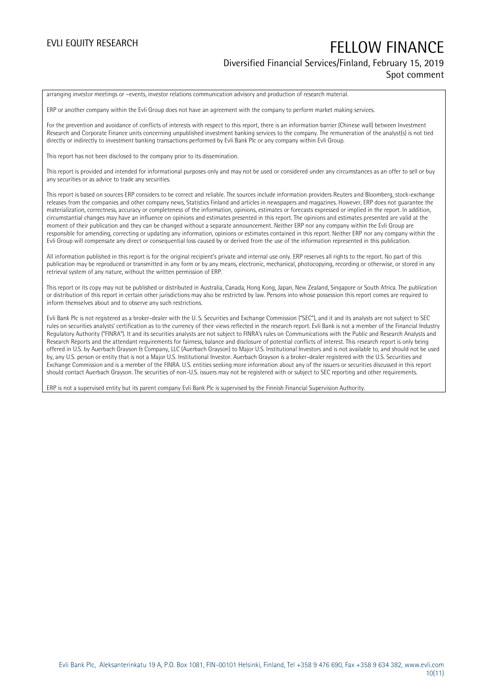### Diversified Financial Services/Finland, February 15, 2019 Spot comment

arranging investor meetings or –events, investor relations communication advisory and production of research material.

ERP or another company within the Evli Group does not have an agreement with the company to perform market making services.

For the prevention and avoidance of conflicts of interests with respect to this report, there is an information barrier (Chinese wall) between Investment Research and Corporate Finance units concerning unpublished investment banking services to the company. The remuneration of the analyst(s) is not tied directly or indirectly to investment banking transactions performed by Evli Bank Plc or any company within Evli Group.

This report has not been disclosed to the company prior to its dissemination.

This report is provided and intended for informational purposes only and may not be used or considered under any circumstances as an offer to sell or buy any securities or as advice to trade any securities.

This report is based on sources ERP considers to be correct and reliable. The sources include information providers Reuters and Bloomberg, stock-exchange releases from the companies and other company news, Statistics Finland and articles in newspapers and magazines. However, ERP does not guarantee the materialization, correctness, accuracy or completeness of the information, opinions, estimates or forecasts expressed or implied in the report. In addition, circumstantial changes may have an influence on opinions and estimates presented in this report. The opinions and estimates presented are valid at the moment of their publication and they can be changed without a separate announcement. Neither ERP nor any company within the Evli Group are responsible for amending, correcting or updating any information, opinions or estimates contained in this report. Neither ERP nor any company within the Evli Group will compensate any direct or consequential loss caused by or derived from the use of the information represented in this publication.

All information published in this report is for the original recipient's private and internal use only. ERP reserves all rights to the report. No part of this publication may be reproduced or transmitted in any form or by any means, electronic, mechanical, photocopying, recording or otherwise, or stored in any retrieval system of any nature, without the written permission of ERP.

This report or its copy may not be published or distributed in Australia, Canada, Hong Kong, Japan, New Zealand, Singapore or South Africa. The publication or distribution of this report in certain other jurisdictions may also be restricted by law. Persons into whose possession this report comes are required to inform themselves about and to observe any such restrictions.

Evli Bank Plc is not registered as a broker-dealer with the U. S. Securities and Exchange Commission ("SEC"), and it and its analysts are not subject to SEC rules on securities analysts' certification as to the currency of their views reflected in the research report. Evli Bank is not a member of the Financial Industry Regulatory Authority ("FINRA"). It and its securities analysts are not subject to FINRA's rules on Communications with the Public and Research Analysts and Research Reports and the attendant requirements for fairness, balance and disclosure of potential conflicts of interest. This research report is only being offered in U.S. by Auerbach Grayson & Company, LLC (Auerbach Grayson) to Major U.S. Institutional Investors and is not available to, and should not be used by, any U.S. person or entity that is not a Major U.S. Institutional Investor. Auerbach Grayson is a broker-dealer registered with the U.S. Securities and Exchange Commission and is a member of the FINRA. U.S. entities seeking more information about any of the issuers or securities discussed in this report should contact Auerbach Grayson. The securities of non-U.S. issuers may not be registered with or subject to SEC reporting and other requirements.

ERP is not a supervised entity but its parent company Evli Bank Plc is supervised by the Finnish Financial Supervision Authority.